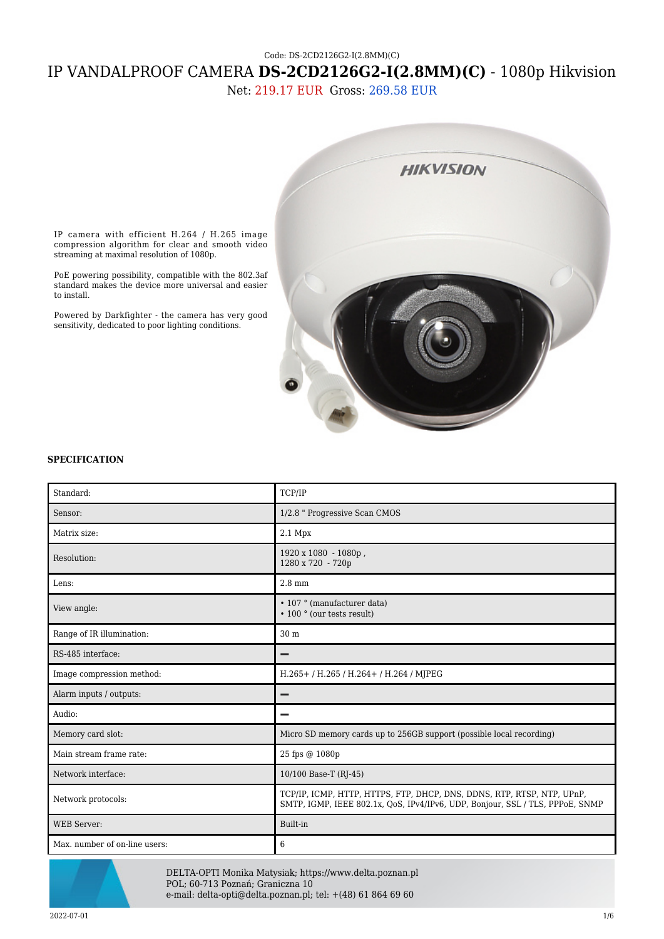# Code: DS-2CD2126G2-I(2.8MM)(C) IP VANDALPROOF CAMERA **DS-2CD2126G2-I(2.8MM)(C)** - 1080p Hikvision

Net: 219.17 EUR Gross: 269.58 EUR



IP camera with efficient H.264 / H.265 image compression algorithm for clear and smooth video streaming at maximal resolution of 1080p.

PoE powering possibility, compatible with the 802.3af standard makes the device more universal and easier to install.

Powered by Darkfighter - the camera has very good sensitivity, dedicated to poor lighting conditions.

#### **SPECIFICATION**

| Standard:                     | TCP/IP                                                                                                                                                  |
|-------------------------------|---------------------------------------------------------------------------------------------------------------------------------------------------------|
| Sensor:                       | 1/2.8 " Progressive Scan CMOS                                                                                                                           |
| Matrix size:                  | 2.1 Mpx                                                                                                                                                 |
| Resolution:                   | 1920 x 1080 - 1080p,<br>1280 x 720 - 720p                                                                                                               |
| Lens:                         | $2.8$ mm                                                                                                                                                |
| View angle:                   | • 107 ° (manufacturer data)<br>• 100 ° (our tests result)                                                                                               |
| Range of IR illumination:     | 30 m                                                                                                                                                    |
| RS-485 interface:             |                                                                                                                                                         |
| Image compression method:     | H.265+/H.265/H.264+/H.264/MJPEG                                                                                                                         |
| Alarm inputs / outputs:       |                                                                                                                                                         |
| Audio:                        |                                                                                                                                                         |
| Memory card slot:             | Micro SD memory cards up to 256GB support (possible local recording)                                                                                    |
| Main stream frame rate:       | 25 fps @ 1080p                                                                                                                                          |
| Network interface:            | 10/100 Base-T (RJ-45)                                                                                                                                   |
| Network protocols:            | TCP/IP, ICMP, HTTP, HTTPS, FTP, DHCP, DNS, DDNS, RTP, RTSP, NTP, UPnP,<br>SMTP, IGMP, IEEE 802.1x, QoS, IPv4/IPv6, UDP, Bonjour, SSL / TLS, PPPoE, SNMP |
| <b>WEB</b> Server:            | Built-in                                                                                                                                                |
| Max. number of on-line users: | 6                                                                                                                                                       |



DELTA-OPTI Monika Matysiak; https://www.delta.poznan.pl POL; 60-713 Poznań; Graniczna 10 e-mail: delta-opti@delta.poznan.pl; tel: +(48) 61 864 69 60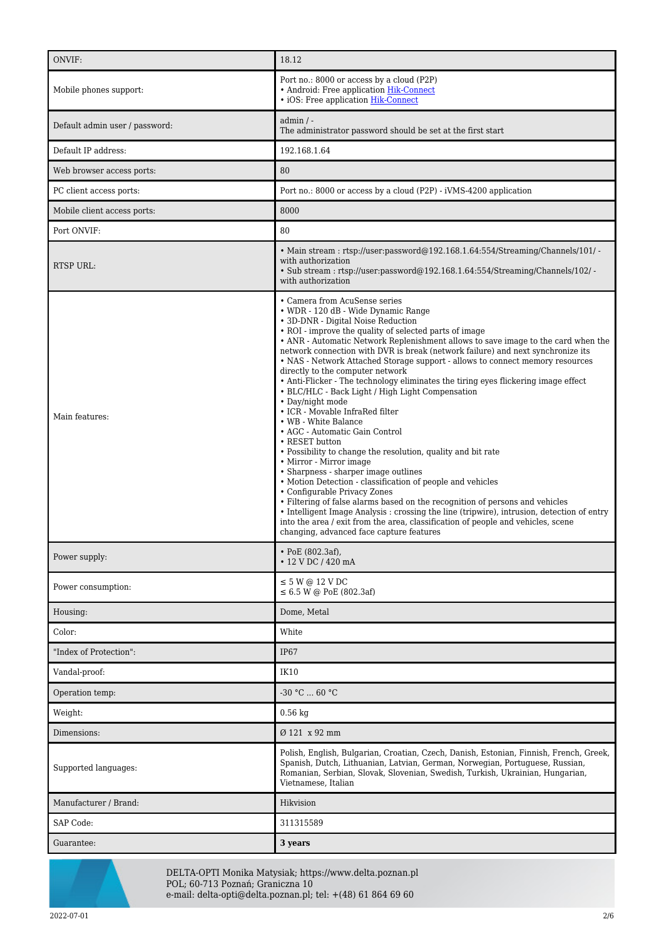| ONVIF:                         | 18.12                                                                                                                                                                                                                                                                                                                                                                                                                                                                                                                                                                                                                                                                                                                                                                                                                                                                                                                                                                                                                                                                                                                                                                                                                                                                                         |
|--------------------------------|-----------------------------------------------------------------------------------------------------------------------------------------------------------------------------------------------------------------------------------------------------------------------------------------------------------------------------------------------------------------------------------------------------------------------------------------------------------------------------------------------------------------------------------------------------------------------------------------------------------------------------------------------------------------------------------------------------------------------------------------------------------------------------------------------------------------------------------------------------------------------------------------------------------------------------------------------------------------------------------------------------------------------------------------------------------------------------------------------------------------------------------------------------------------------------------------------------------------------------------------------------------------------------------------------|
| Mobile phones support:         | Port no.: 8000 or access by a cloud (P2P)<br>• Android: Free application Hik-Connect<br>· iOS: Free application Hik-Connect                                                                                                                                                                                                                                                                                                                                                                                                                                                                                                                                                                                                                                                                                                                                                                                                                                                                                                                                                                                                                                                                                                                                                                   |
| Default admin user / password: | $admin / -$<br>The administrator password should be set at the first start                                                                                                                                                                                                                                                                                                                                                                                                                                                                                                                                                                                                                                                                                                                                                                                                                                                                                                                                                                                                                                                                                                                                                                                                                    |
| Default IP address:            | 192.168.1.64                                                                                                                                                                                                                                                                                                                                                                                                                                                                                                                                                                                                                                                                                                                                                                                                                                                                                                                                                                                                                                                                                                                                                                                                                                                                                  |
| Web browser access ports:      | 80                                                                                                                                                                                                                                                                                                                                                                                                                                                                                                                                                                                                                                                                                                                                                                                                                                                                                                                                                                                                                                                                                                                                                                                                                                                                                            |
| PC client access ports:        | Port no.: 8000 or access by a cloud (P2P) - iVMS-4200 application                                                                                                                                                                                                                                                                                                                                                                                                                                                                                                                                                                                                                                                                                                                                                                                                                                                                                                                                                                                                                                                                                                                                                                                                                             |
| Mobile client access ports:    | 8000                                                                                                                                                                                                                                                                                                                                                                                                                                                                                                                                                                                                                                                                                                                                                                                                                                                                                                                                                                                                                                                                                                                                                                                                                                                                                          |
| Port ONVIF:                    | 80                                                                                                                                                                                                                                                                                                                                                                                                                                                                                                                                                                                                                                                                                                                                                                                                                                                                                                                                                                                                                                                                                                                                                                                                                                                                                            |
| <b>RTSP URL:</b>               | • Main stream: rtsp://user:password@192.168.1.64:554/Streaming/Channels/101/ -<br>with authorization<br>• Sub stream: rtsp://user.password@192.168.1.64:554/Streaming/Channels/102/-<br>with authorization                                                                                                                                                                                                                                                                                                                                                                                                                                                                                                                                                                                                                                                                                                                                                                                                                                                                                                                                                                                                                                                                                    |
| Main features:                 | • Camera from AcuSense series<br>• WDR - 120 dB - Wide Dynamic Range<br>• 3D-DNR - Digital Noise Reduction<br>• ROI - improve the quality of selected parts of image<br>• ANR - Automatic Network Replenishment allows to save image to the card when the<br>network connection with DVR is break (network failure) and next synchronize its<br>• NAS - Network Attached Storage support - allows to connect memory resources<br>directly to the computer network<br>• Anti-Flicker - The technology eliminates the tiring eyes flickering image effect<br>• BLC/HLC - Back Light / High Light Compensation<br>• Day/night mode<br>• ICR - Movable InfraRed filter<br>• WB - White Balance<br>• AGC - Automatic Gain Control<br>• RESET button<br>• Possibility to change the resolution, quality and bit rate<br>• Mirror - Mirror image<br>• Sharpness - sharper image outlines<br>• Motion Detection - classification of people and vehicles<br>• Configurable Privacy Zones<br>• Filtering of false alarms based on the recognition of persons and vehicles<br>• Intelligent Image Analysis : crossing the line (tripwire), intrusion, detection of entry<br>into the area / exit from the area, classification of people and vehicles, scene<br>changing, advanced face capture features |
| Power supply:                  | • PoE (802.3af),<br>• 12 V DC / 420 mA                                                                                                                                                                                                                                                                                                                                                                                                                                                                                                                                                                                                                                                                                                                                                                                                                                                                                                                                                                                                                                                                                                                                                                                                                                                        |
| Power consumption:             | $\leq$ 5 W @ 12 V DC<br>$\leq 6.5$ W @ PoE (802.3af)                                                                                                                                                                                                                                                                                                                                                                                                                                                                                                                                                                                                                                                                                                                                                                                                                                                                                                                                                                                                                                                                                                                                                                                                                                          |
| Housing:                       | Dome, Metal                                                                                                                                                                                                                                                                                                                                                                                                                                                                                                                                                                                                                                                                                                                                                                                                                                                                                                                                                                                                                                                                                                                                                                                                                                                                                   |
| Color:                         | White                                                                                                                                                                                                                                                                                                                                                                                                                                                                                                                                                                                                                                                                                                                                                                                                                                                                                                                                                                                                                                                                                                                                                                                                                                                                                         |
| "Index of Protection":         | IP67                                                                                                                                                                                                                                                                                                                                                                                                                                                                                                                                                                                                                                                                                                                                                                                                                                                                                                                                                                                                                                                                                                                                                                                                                                                                                          |
| Vandal-proof:                  | IK10                                                                                                                                                                                                                                                                                                                                                                                                                                                                                                                                                                                                                                                                                                                                                                                                                                                                                                                                                                                                                                                                                                                                                                                                                                                                                          |
| Operation temp:                | $-30 °C  60 °C$                                                                                                                                                                                                                                                                                                                                                                                                                                                                                                                                                                                                                                                                                                                                                                                                                                                                                                                                                                                                                                                                                                                                                                                                                                                                               |
| Weight:                        | $0.56$ kg                                                                                                                                                                                                                                                                                                                                                                                                                                                                                                                                                                                                                                                                                                                                                                                                                                                                                                                                                                                                                                                                                                                                                                                                                                                                                     |
| Dimensions:                    | Ø 121 x 92 mm                                                                                                                                                                                                                                                                                                                                                                                                                                                                                                                                                                                                                                                                                                                                                                                                                                                                                                                                                                                                                                                                                                                                                                                                                                                                                 |
| Supported languages:           | Polish, English, Bulgarian, Croatian, Czech, Danish, Estonian, Finnish, French, Greek,<br>Spanish, Dutch, Lithuanian, Latvian, German, Norwegian, Portuguese, Russian,<br>Romanian, Serbian, Slovak, Slovenian, Swedish, Turkish, Ukrainian, Hungarian,<br>Vietnamese, Italian                                                                                                                                                                                                                                                                                                                                                                                                                                                                                                                                                                                                                                                                                                                                                                                                                                                                                                                                                                                                                |
| Manufacturer / Brand:          | Hikvision                                                                                                                                                                                                                                                                                                                                                                                                                                                                                                                                                                                                                                                                                                                                                                                                                                                                                                                                                                                                                                                                                                                                                                                                                                                                                     |
| SAP Code:                      | 311315589                                                                                                                                                                                                                                                                                                                                                                                                                                                                                                                                                                                                                                                                                                                                                                                                                                                                                                                                                                                                                                                                                                                                                                                                                                                                                     |
| Guarantee:                     | 3 years                                                                                                                                                                                                                                                                                                                                                                                                                                                                                                                                                                                                                                                                                                                                                                                                                                                                                                                                                                                                                                                                                                                                                                                                                                                                                       |



DELTA-OPTI Monika Matysiak; https://www.delta.poznan.pl POL; 60-713 Poznań; Graniczna 10 e-mail: delta-opti@delta.poznan.pl; tel: +(48) 61 864 69 60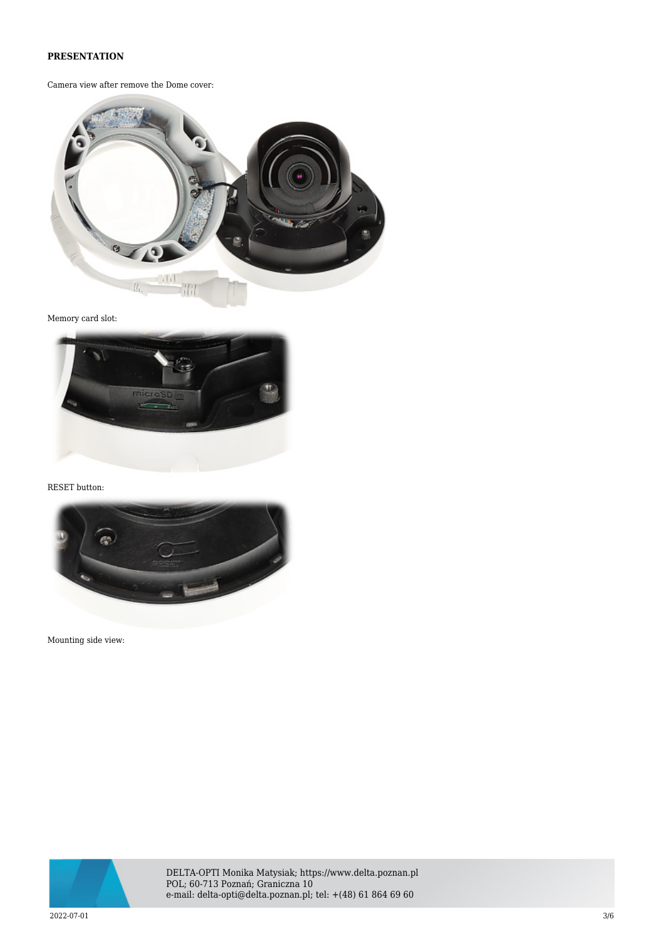## **PRESENTATION**

Camera view after remove the Dome cover:



Memory card slot:



RESET button:



Mounting side view:



DELTA-OPTI Monika Matysiak; https://www.delta.poznan.pl POL; 60-713 Poznań; Graniczna 10 e-mail: delta-opti@delta.poznan.pl; tel: +(48) 61 864 69 60

 $2022$ -07-01  $3/6$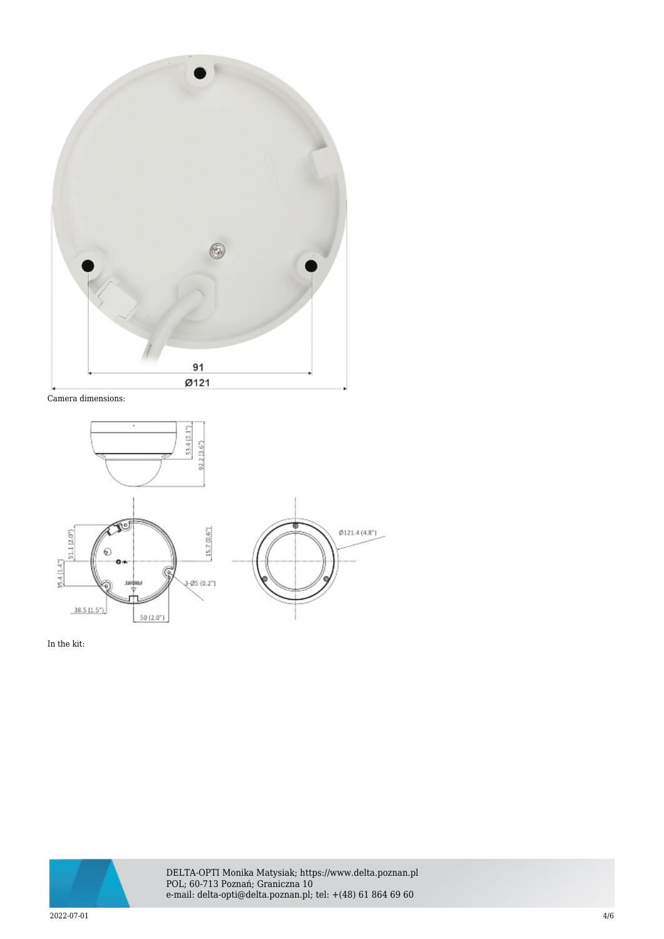

Camera dimensions:



In the kit:



DELTA-OPTI Monika Matysiak; https://www.delta.poznan.pl POL; 60-713 Poznań; Graniczna 10 e-mail: delta-opti@delta.poznan.pl; tel: +(48) 61 864 69 60

 $2022$ -07-01  $4/6$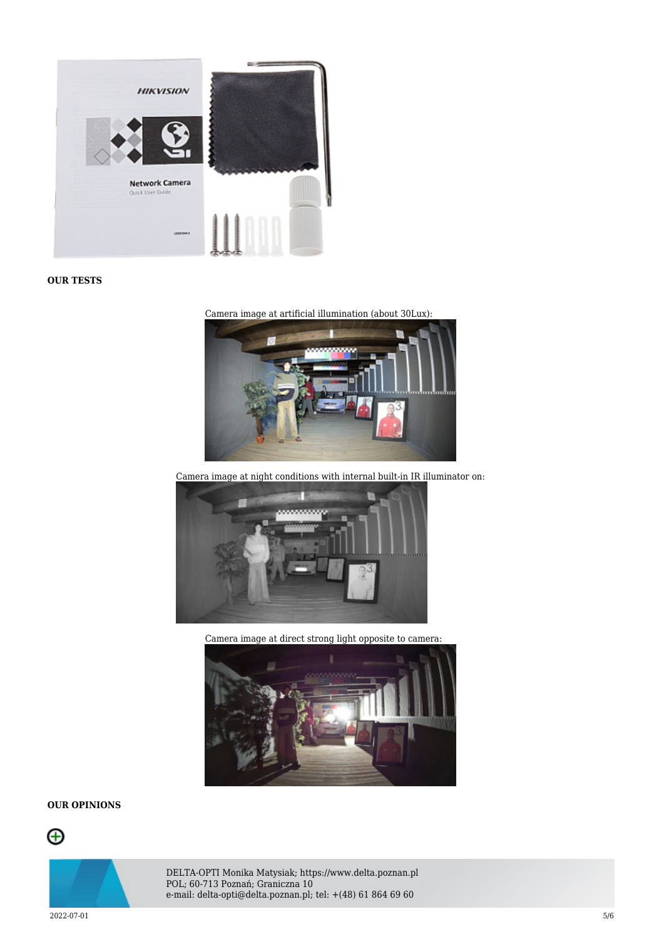

#### **OUR TESTS**





Camera image at night conditions with internal built-in IR illuminator on:



Camera image at direct strong light opposite to camera:



## **OUR OPINIONS**





DELTA-OPTI Monika Matysiak; https://www.delta.poznan.pl POL; 60-713 Poznań; Graniczna 10 e-mail: delta-opti@delta.poznan.pl; tel: +(48) 61 864 69 60

 $2022$ -07-01  $5/6$